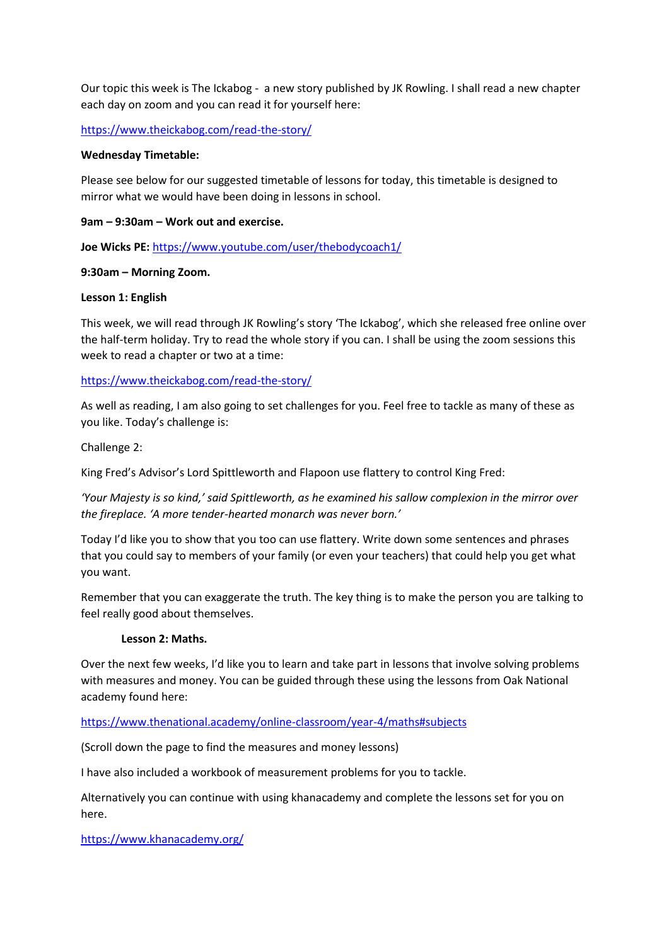Our topic this week is The Ickabog - a new story published by JK Rowling. I shall read a new chapter each day on zoom and you can read it for yourself here:

<https://www.theickabog.com/read-the-story/>

#### **Wednesday Timetable:**

Please see below for our suggested timetable of lessons for today, this timetable is designed to mirror what we would have been doing in lessons in school.

#### **9am – 9:30am – Work out and exercise.**

**Joe Wicks PE:** <https://www.youtube.com/user/thebodycoach1/>

## **9:30am – Morning Zoom.**

## **Lesson 1: English**

This week, we will read through JK Rowling's story 'The Ickabog', which she released free online over the half-term holiday. Try to read the whole story if you can. I shall be using the zoom sessions this week to read a chapter or two at a time:

## <https://www.theickabog.com/read-the-story/>

As well as reading, I am also going to set challenges for you. Feel free to tackle as many of these as you like. Today's challenge is:

Challenge 2:

King Fred's Advisor's Lord Spittleworth and Flapoon use flattery to control King Fred:

*'Your Majesty is so kind,' said Spittleworth, as he examined his sallow complexion in the mirror over the fireplace. 'A more tender-hearted monarch was never born.'*

Today I'd like you to show that you too can use flattery. Write down some sentences and phrases that you could say to members of your family (or even your teachers) that could help you get what you want.

Remember that you can exaggerate the truth. The key thing is to make the person you are talking to feel really good about themselves.

#### **Lesson 2: Maths.**

Over the next few weeks, I'd like you to learn and take part in lessons that involve solving problems with measures and money. You can be guided through these using the lessons from Oak National academy found here:

<https://www.thenational.academy/online-classroom/year-4/maths#subjects>

(Scroll down the page to find the measures and money lessons)

I have also included a workbook of measurement problems for you to tackle.

Alternatively you can continue with using khanacademy and complete the lessons set for you on here.

<https://www.khanacademy.org/>